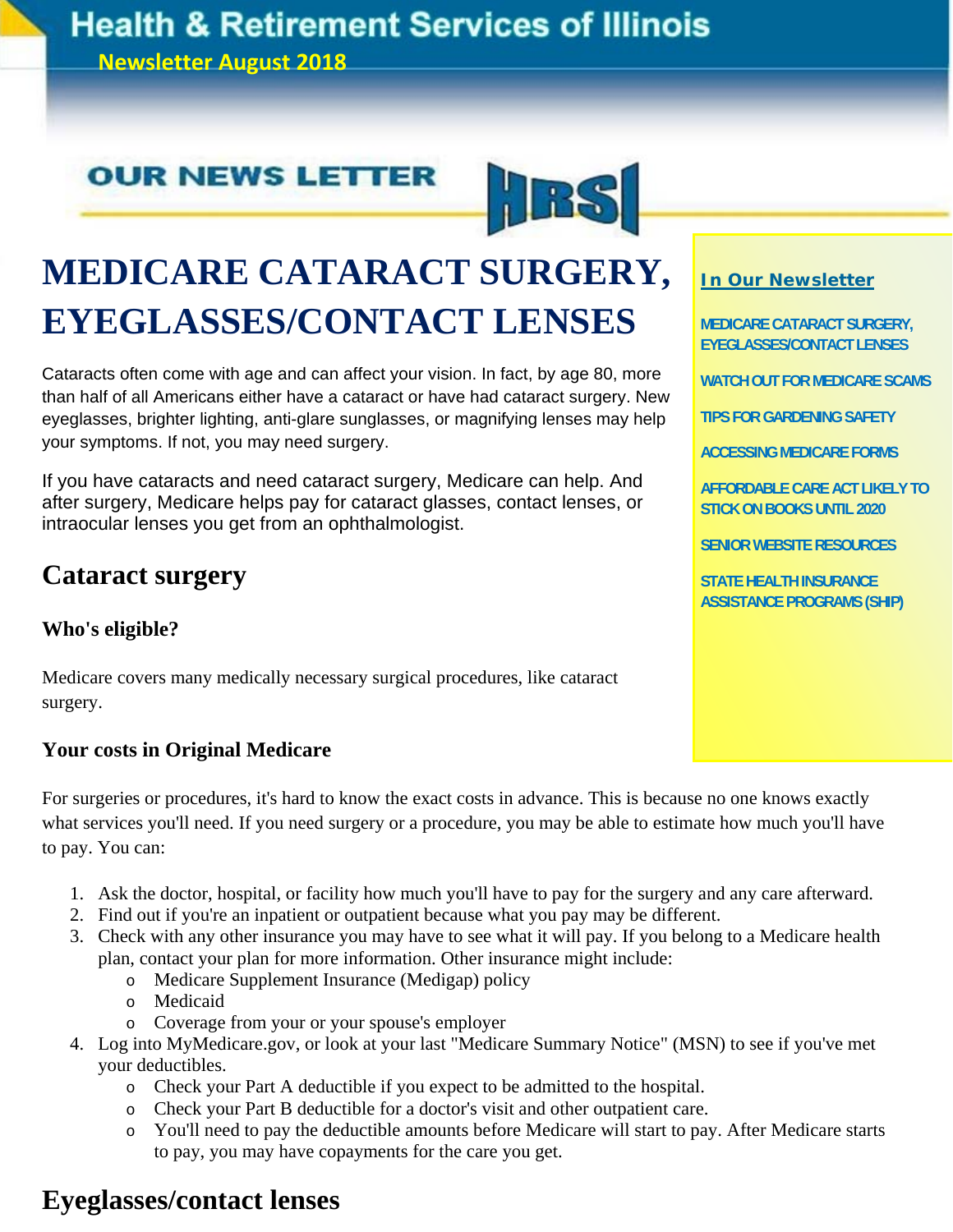## **Health & Retirement Services of Illinois**

**Newsletter August 2018**

## **OUR NEWS LETTER**



## **MEDICARE CATARACT SURGERY, EYEGLASSES/CONTACT LENSES**

Cataracts often come with age and can affect your vision. In fact, by age 80, more than half of all Americans either have a cataract or have had cataract surgery. New eyeglasses, brighter lighting, anti-glare sunglasses, or magnifying lenses may help your symptoms. If not, you may need surgery.

If you have cataracts and need cataract surgery, Medicare can help. And after surgery, Medicare helps pay for cataract glasses, contact lenses, or intraocular lenses you get from an ophthalmologist.

## **Cataract surgery**

#### **Who's eligible?**

Medicare covers many medically necessary surgical procedures, like cataract surgery.

#### **Your costs in Original Medicare**

For surgeries or procedures, it's hard to know the exact costs in advance. This is because no one knows exactly what services you'll need. If you need surgery or a procedure, you may be able to estimate how much you'll have to pay. You can:

- 1. Ask the doctor, hospital, or facility how much you'll have to pay for the surgery and any care afterward.
- 2. Find out if you're an inpatient or outpatient because what you pay may be different.
- 3. Check with any other insurance you may have to see what it will pay. If you belong to a Medicare health plan, contact your plan for more information. Other insurance might include:
	- o Medicare Supplement Insurance (Medigap) policy
	- o Medicaid
	- o Coverage from your or your spouse's employer
- 4. Log into MyMedicare.gov, or look at your last "Medicare Summary Notice" (MSN) to see if you've met your deductibles.
	- o Check your Part A deductible if you expect to be admitted to the hospital.
	- o Check your Part B deductible for a doctor's visit and other outpatient care.
	- o You'll need to pay the deductible amounts before Medicare will start to pay. After Medicare starts to pay, you may have copayments for the care you get.

### **Eyeglasses/contact lenses**

#### **In Our Newsletter**

**MEDICARE CATARACT SURGERY, EYEGLASSES/CONTACT LENSES** 

**WATCH OUT FOR MEDICARE SCAMS** 

**TIPS FOR GARDENING SAFETY** 

**ACCESSING MEDICARE FORMS** 

**AFFORDABLE CARE ACT LIKELY TO STICK ON BOOKS UNTIL 2020** 

**SENIOR WEBSITE RESOURCES** 

**STATE HEALTH INSURANCE ASSISTANCE PROGRAMS (SHIP)**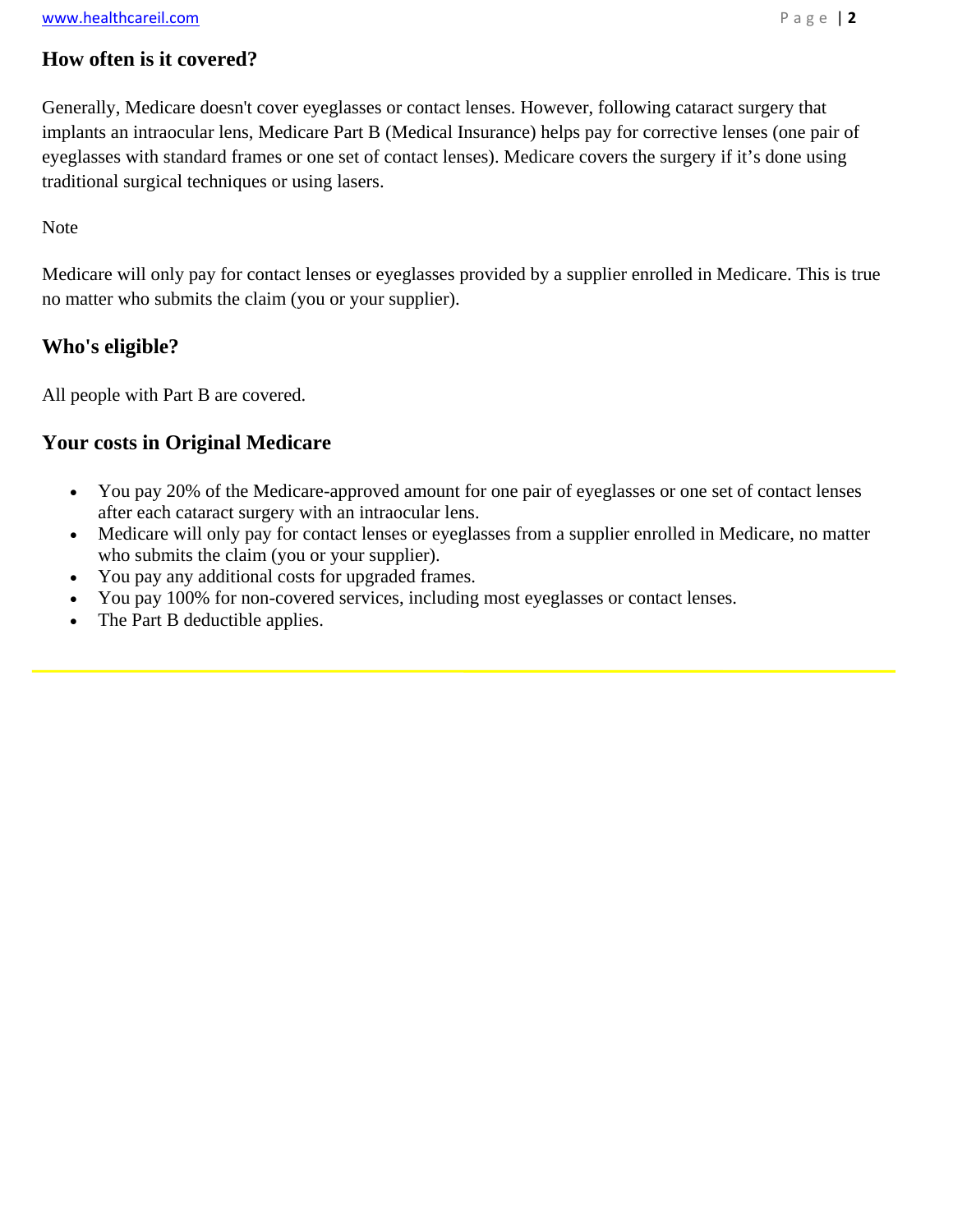#### **How often is it covered?**

Generally, Medicare doesn't cover eyeglasses or contact lenses. However, following cataract surgery that implants an intraocular lens, Medicare Part B (Medical Insurance) helps pay for corrective lenses (one pair of eyeglasses with standard frames or one set of contact lenses). Medicare covers the surgery if it's done using traditional surgical techniques or using lasers.

Note

Medicare will only pay for contact lenses or eyeglasses provided by a supplier enrolled in Medicare. This is true no matter who submits the claim (you or your supplier).

#### **Who's eligible?**

All people with Part B are covered.

#### **Your costs in Original Medicare**

- You pay 20% of the Medicare-approved amount for one pair of eyeglasses or one set of contact lenses after each cataract surgery with an intraocular lens.
- Medicare will only pay for contact lenses or eyeglasses from a supplier enrolled in Medicare, no matter who submits the claim (you or your supplier).
- You pay any additional costs for upgraded frames.
- You pay 100% for non-covered services, including most eyeglasses or contact lenses.
- The Part B deductible applies.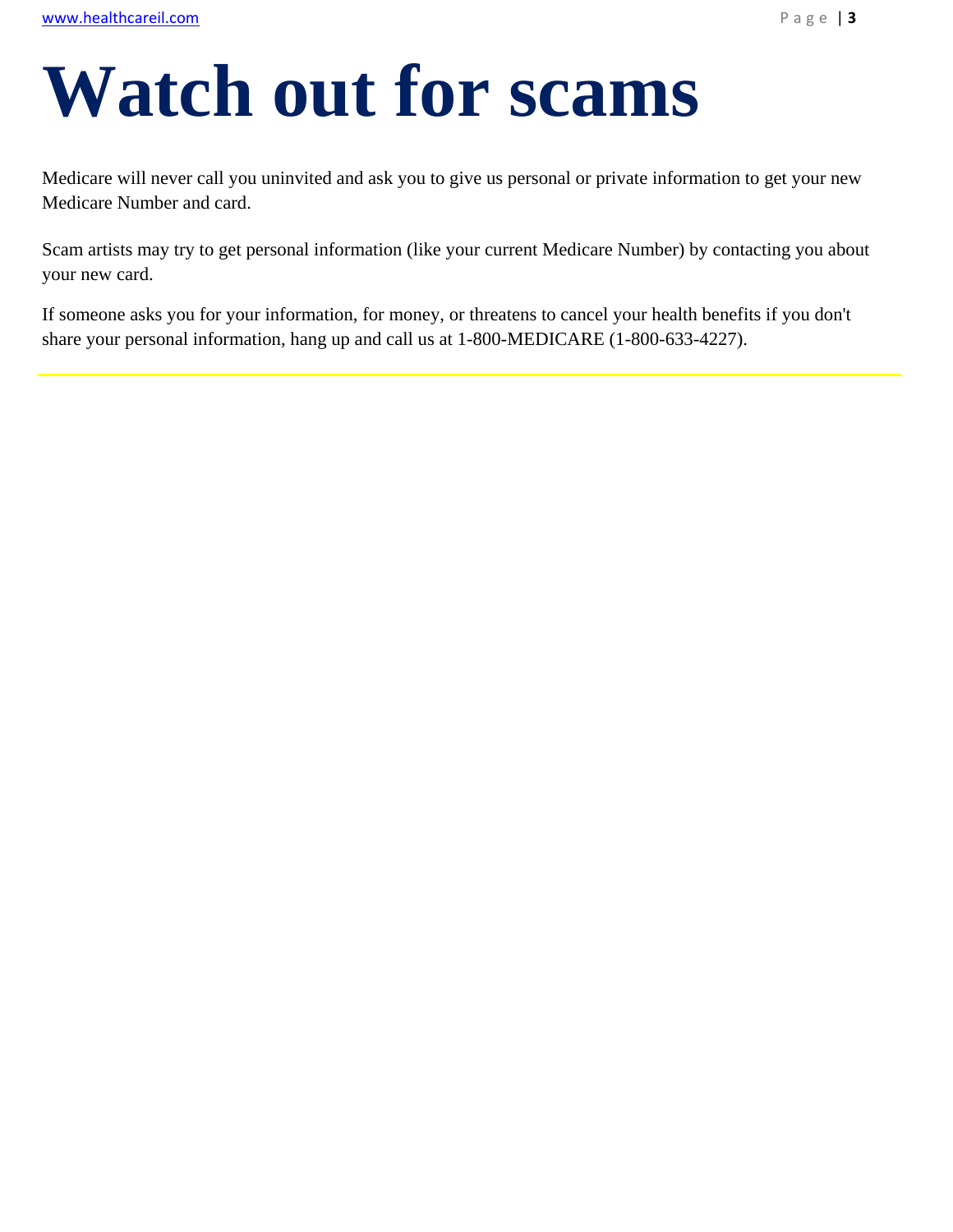# **Watch out for scams**

Medicare will never call you uninvited and ask you to give us personal or private information to get your new Medicare Number and card.

Scam artists may try to get personal information (like your current Medicare Number) by contacting you about your new card.

If someone asks you for your information, for money, or threatens to cancel your health benefits if you don't share your personal information, hang up and call us at 1-800-MEDICARE (1-800-633-4227).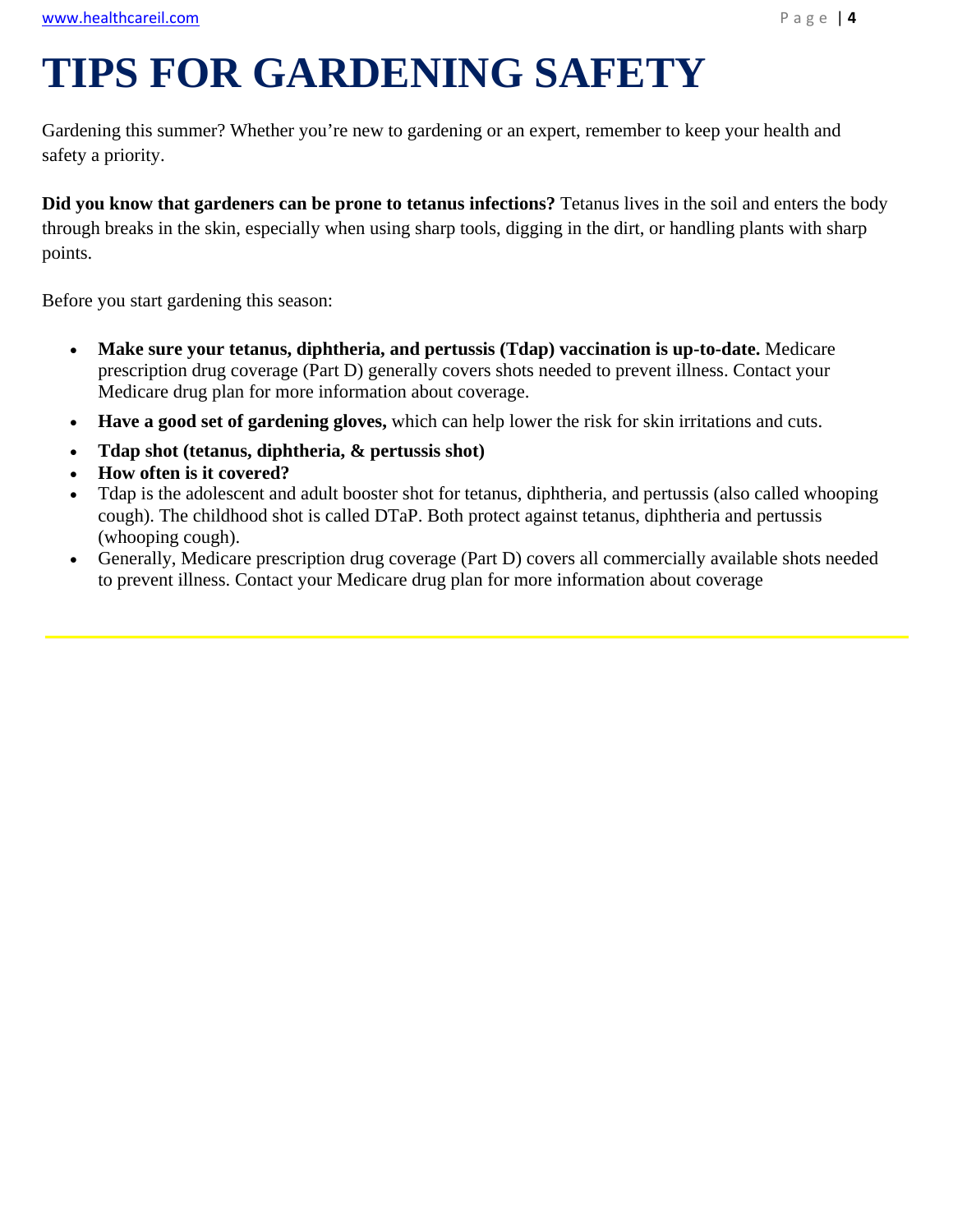# **TIPS FOR GARDENING SAFETY**

Gardening this summer? Whether you're new to gardening or an expert, remember to keep your health and safety a priority.

**Did you know that gardeners can be prone to tetanus infections?** Tetanus lives in the soil and enters the body through breaks in the skin, especially when using sharp tools, digging in the dirt, or handling plants with sharp points.

Before you start gardening this season:

- **Make sure your tetanus, diphtheria, and pertussis (Tdap) vaccination is up-to-date.** Medicare prescription drug coverage (Part D) generally covers shots needed to prevent illness. Contact your Medicare drug plan for more information about coverage.
- **Have a good set of gardening gloves,** which can help lower the risk for skin irritations and cuts.
- **Tdap shot (tetanus, diphtheria, & pertussis shot)**
- **How often is it covered?**
- Tdap is the adolescent and adult booster shot for tetanus, diphtheria, and pertussis (also called whooping cough). The childhood shot is called DTaP. Both protect against tetanus, diphtheria and pertussis (whooping cough).
- Generally, Medicare prescription drug coverage (Part D) covers all commercially available shots needed to prevent illness. Contact your Medicare drug plan for more information about coverage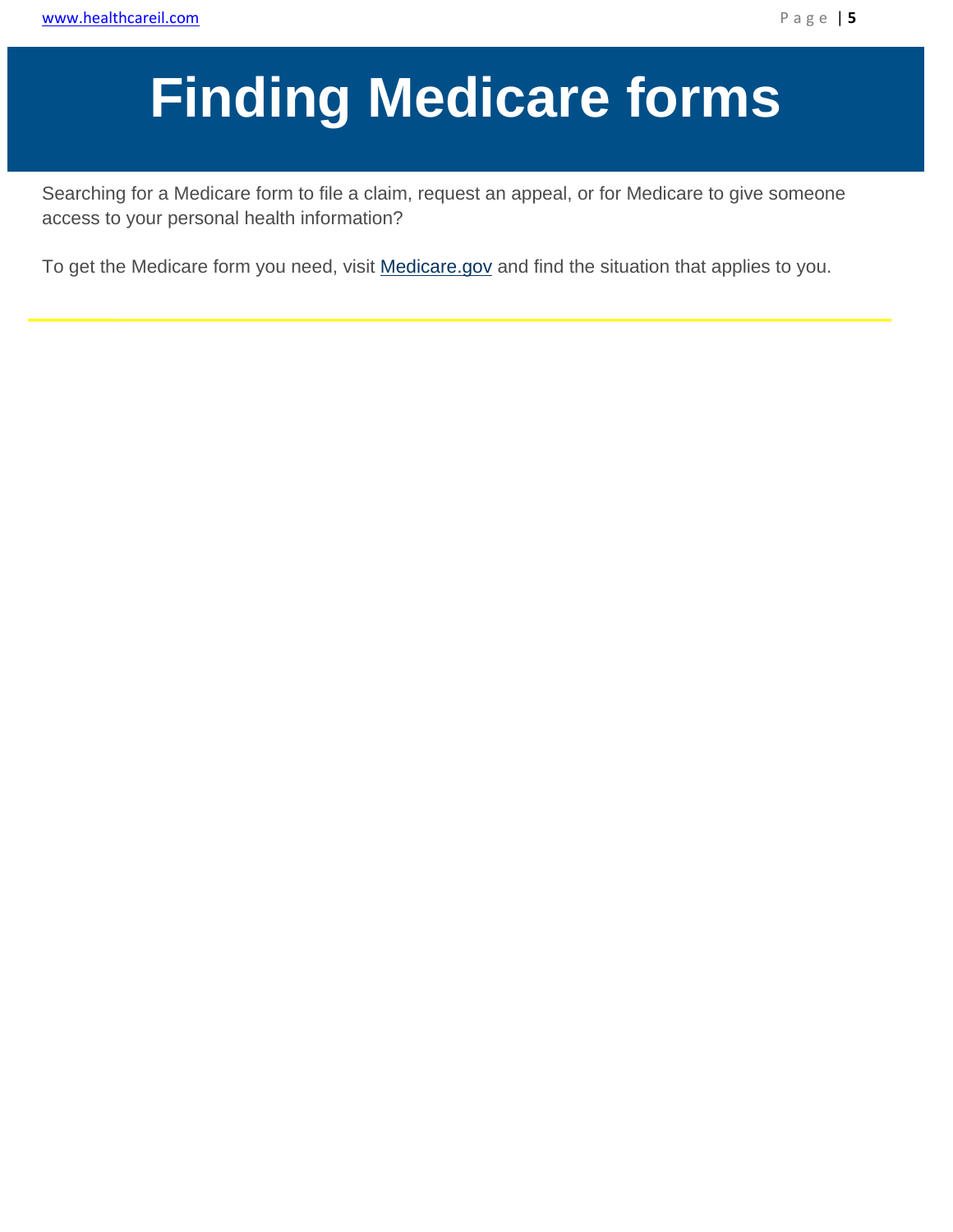# **Finding Medicare forms**

Searching for a Medicare form to file a claim, request an appeal, or for Medicare to give someone access to your personal health information?

To get the Medicare form you need, visit Medicare.gov and find the situation that applies to you.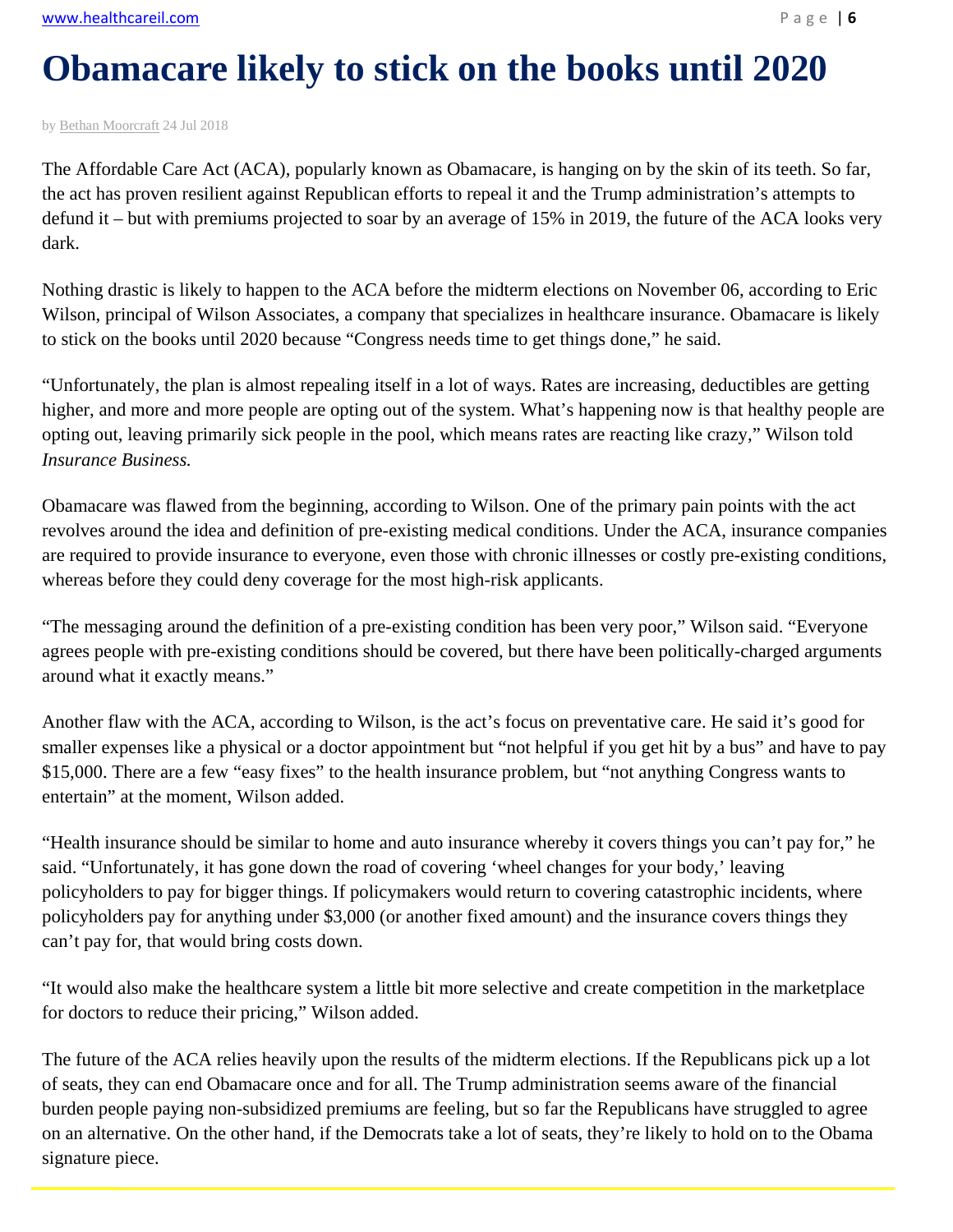## **Obamacare likely to stick on the books until 2020**

by Bethan Moorcraft 24 Jul 2018

The Affordable Care Act (ACA), popularly known as Obamacare, is hanging on by the skin of its teeth. So far, the act has proven resilient against Republican efforts to repeal it and the Trump administration's attempts to defund it – but with premiums projected to soar by an average of 15% in 2019, the future of the ACA looks very dark.

Nothing drastic is likely to happen to the ACA before the midterm elections on November 06, according to Eric Wilson, principal of Wilson Associates, a company that specializes in healthcare insurance. Obamacare is likely to stick on the books until 2020 because "Congress needs time to get things done," he said.

"Unfortunately, the plan is almost repealing itself in a lot of ways. Rates are increasing, deductibles are getting higher, and more and more people are opting out of the system. What's happening now is that healthy people are opting out, leaving primarily sick people in the pool, which means rates are reacting like crazy," Wilson told *Insurance Business.* 

Obamacare was flawed from the beginning, according to Wilson. One of the primary pain points with the act revolves around the idea and definition of pre-existing medical conditions. Under the ACA, insurance companies are required to provide insurance to everyone, even those with chronic illnesses or costly pre-existing conditions, whereas before they could deny coverage for the most high-risk applicants.

"The messaging around the definition of a pre-existing condition has been very poor," Wilson said. "Everyone agrees people with pre-existing conditions should be covered, but there have been politically-charged arguments around what it exactly means."

Another flaw with the ACA, according to Wilson, is the act's focus on preventative care. He said it's good for smaller expenses like a physical or a doctor appointment but "not helpful if you get hit by a bus" and have to pay \$15,000. There are a few "easy fixes" to the health insurance problem, but "not anything Congress wants to entertain" at the moment, Wilson added.

"Health insurance should be similar to home and auto insurance whereby it covers things you can't pay for," he said. "Unfortunately, it has gone down the road of covering 'wheel changes for your body,' leaving policyholders to pay for bigger things. If policymakers would return to covering catastrophic incidents, where policyholders pay for anything under \$3,000 (or another fixed amount) and the insurance covers things they can't pay for, that would bring costs down.

"It would also make the healthcare system a little bit more selective and create competition in the marketplace for doctors to reduce their pricing," Wilson added.

The future of the ACA relies heavily upon the results of the midterm elections. If the Republicans pick up a lot of seats, they can end Obamacare once and for all. The Trump administration seems aware of the financial burden people paying non-subsidized premiums are feeling, but so far the Republicans have struggled to agree on an alternative. On the other hand, if the Democrats take a lot of seats, they're likely to hold on to the Obama signature piece.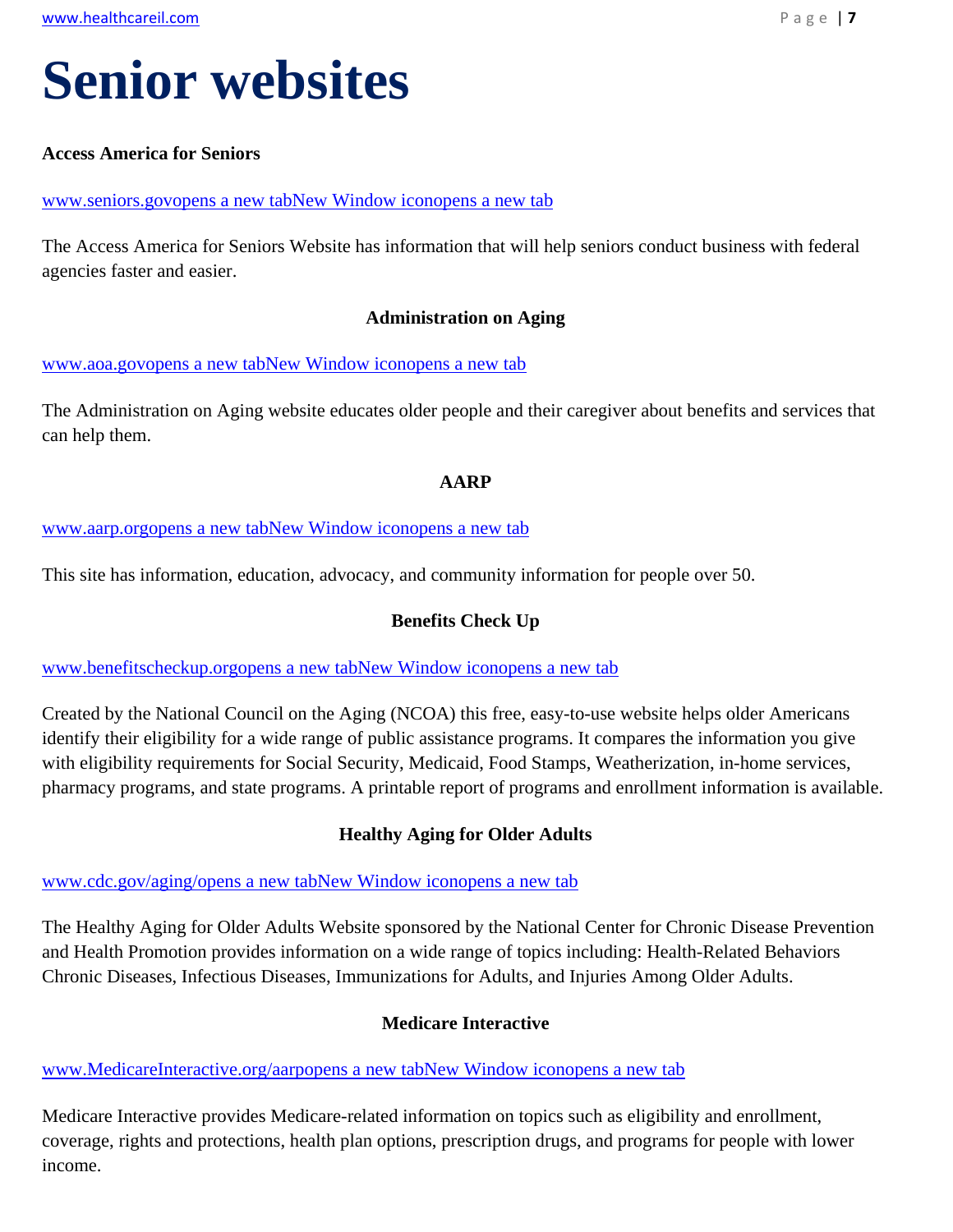# **Senior websites**

#### **Access America for Seniors**

www.seniors.govopens a new tabNew Window iconopens a new tab

The Access America for Seniors Website has information that will help seniors conduct business with federal agencies faster and easier.

#### **Administration on Aging**

#### www.aoa.govopens a new tabNew Window iconopens a new tab

The Administration on Aging website educates older people and their caregiver about benefits and services that can help them.

#### **AARP**

www.aarp.orgopens a new tabNew Window iconopens a new tab

This site has information, education, advocacy, and community information for people over 50.

#### **Benefits Check Up**

www.benefitscheckup.orgopens a new tabNew Window iconopens a new tab

Created by the National Council on the Aging (NCOA) this free, easy-to-use website helps older Americans identify their eligibility for a wide range of public assistance programs. It compares the information you give with eligibility requirements for Social Security, Medicaid, Food Stamps, Weatherization, in-home services, pharmacy programs, and state programs. A printable report of programs and enrollment information is available.

#### **Healthy Aging for Older Adults**

#### www.cdc.gov/aging/opens a new tabNew Window iconopens a new tab

The Healthy Aging for Older Adults Website sponsored by the National Center for Chronic Disease Prevention and Health Promotion provides information on a wide range of topics including: Health-Related Behaviors Chronic Diseases, Infectious Diseases, Immunizations for Adults, and Injuries Among Older Adults.

#### **Medicare Interactive**

#### www.MedicareInteractive.org/aarpopens a new tabNew Window iconopens a new tab

Medicare Interactive provides Medicare-related information on topics such as eligibility and enrollment, coverage, rights and protections, health plan options, prescription drugs, and programs for people with lower income.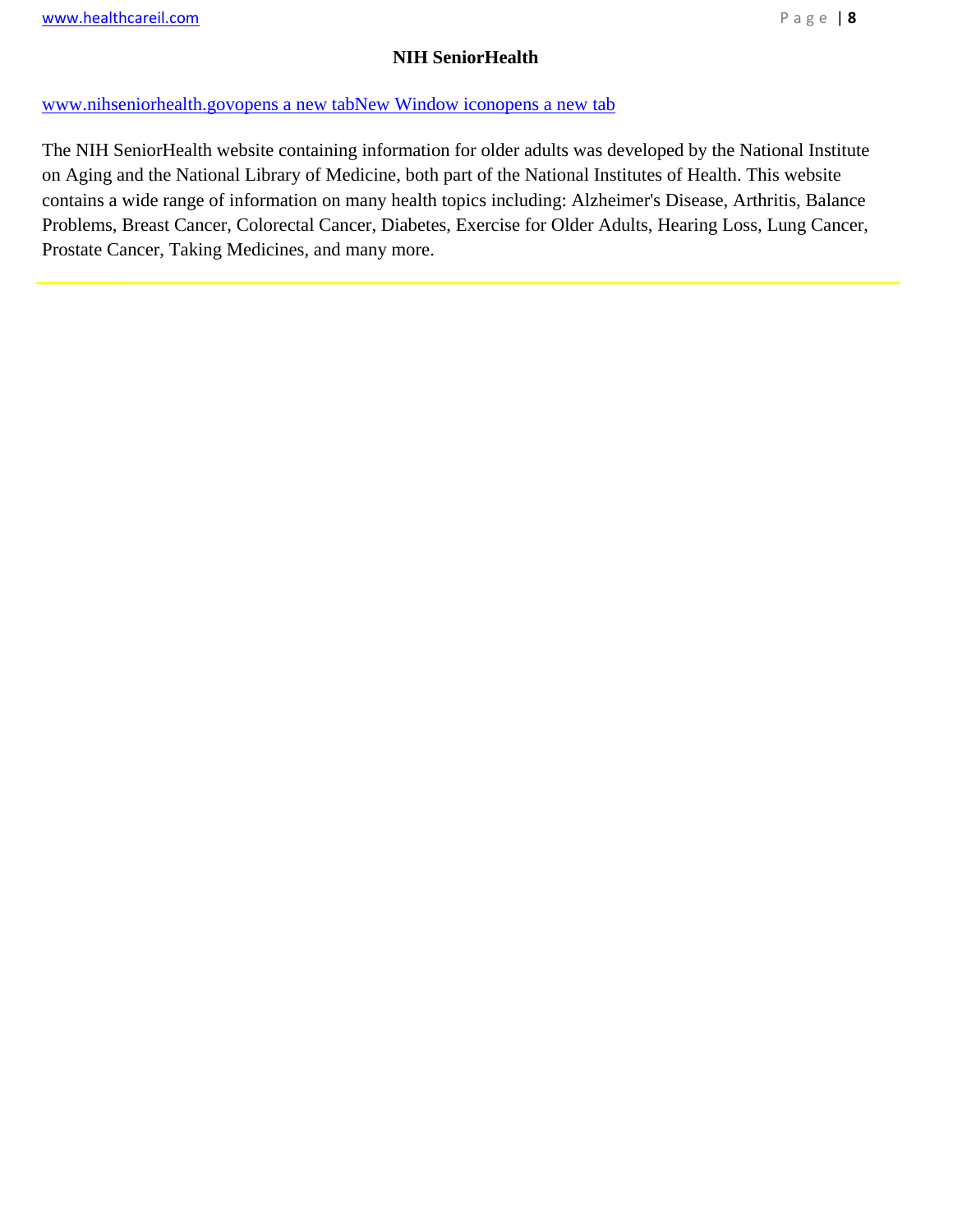#### **NIH SeniorHealth**

#### www.nihseniorhealth.govopens a new tabNew Window iconopens a new tab

The NIH SeniorHealth website containing information for older adults was developed by the National Institute on Aging and the National Library of Medicine, both part of the National Institutes of Health. This website contains a wide range of information on many health topics including: Alzheimer's Disease, Arthritis, Balance Problems, Breast Cancer, Colorectal Cancer, Diabetes, Exercise for Older Adults, Hearing Loss, Lung Cancer, Prostate Cancer, Taking Medicines, and many more.